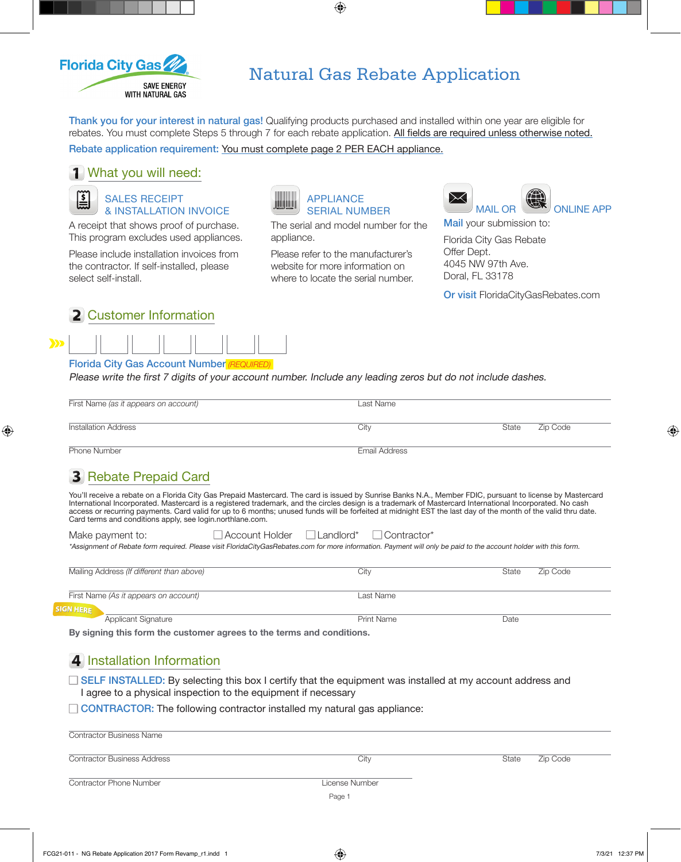

# Natural Gas Rebate Application

Thank you for your interest in natural gas! Qualifying products purchased and installed within one year are eligible for rebates. You must complete Steps 5 through 7 for each rebate application. All fields are required unless otherwise noted.

 $\bigoplus$ 

Rebate application requirement: You must complete page 2 PER EACH appliance.

#### **1** What you will need:

SALES RECEIPT & INSTALLATION INVOICE

A receipt that shows proof of purchase. This program excludes used appliances.

Please include installation invoices from the contractor. If self-installed, please select self-install.



SERIAL NUMBER

The serial and model number for the appliance.

Please refer to the manufacturer's website for more information on where to locate the serial number.



Mail your submission to: Florida City Gas Rebate

Offer Dept. 4045 NW 97th Ave. Doral, FL 33178

Or visit [FloridaCityGasRebates.com](http://FloridaCityGasRebates.com)

| 2 Customer Information |  |
|------------------------|--|
|------------------------|--|

#### Florida City Gas Account Number *(REQUIRED)*

Please write the first 7 digits of your account number. Include any leading zeros but do not include dashes.

| First Name (as it appears on account) | Last Name |       |          |
|---------------------------------------|-----------|-------|----------|
| <b>Installation Address</b>           | City      | State | Zip Code |

Phone Number **Email Address** 

 $S<sub>1</sub>$ 

⊕

## **3** Rebate Prepaid Card

You'll receive a rebate on a Florida City Gas Prepaid Mastercard. The card is issued by Sunrise Banks N.A., Member FDIC, pursuant to license by Mastercard International Incorporated. Mastercard is a registered trademark, and the circles design is a trademark of Mastercard International Incorporated. No cash access or recurring payments. Card valid for up to 6 months; unused funds will be forfeited at midnight EST the last day of the month of the valid thru date. Card terms and conditions apply, see login.northlane.com.

| Make payment to:                                                                                                                                                  | Account Holder | $\Box$ Landlord* $\Box$ Contractor* |  |
|-------------------------------------------------------------------------------------------------------------------------------------------------------------------|----------------|-------------------------------------|--|
| *Assignment of Rebate form required. Please visit FloridaCityGasRebates.com for more information. Payment will only be paid to the account holder with this form. |                |                                     |  |

| Mailing Address (If different than above) | City       | State | Zip Code |
|-------------------------------------------|------------|-------|----------|
|                                           |            |       |          |
|                                           |            |       |          |
|                                           |            |       |          |
| First Name (As it appears on account)     | Last Name  |       |          |
|                                           |            |       |          |
|                                           |            |       |          |
| <sup>SN HERE</sup>                        |            |       |          |
| Applicant Signature                       | Print Name | Date  |          |
|                                           |            |       |          |

**By signing this form the customer agrees to the terms and conditions.**

### **4** Installation Information

 $\Box$  SELF INSTALLED: By selecting this box I certify that the equipment was installed at my account address and I agree to a physical inspection to the equipment if necessary

 $\Box$  CONTRACTOR: The following contractor installed my natural gas appliance:

| <b>Contractor Business Name</b>    |                |                   |  |
|------------------------------------|----------------|-------------------|--|
| <b>Contractor Business Address</b> | City           | Zip Code<br>State |  |
| <b>Contractor Phone Number</b>     | License Number |                   |  |
|                                    | Page 1         |                   |  |

⊕